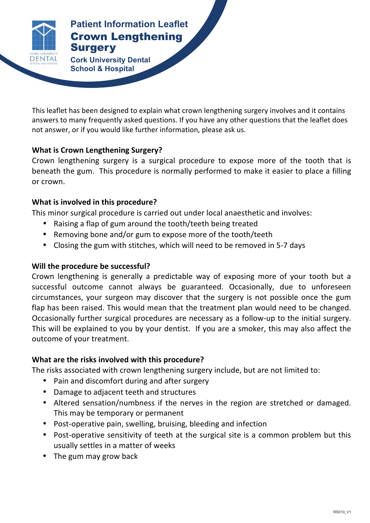

### **Patient Information Leaflet** Crown Lengthening **Surgery Patient Information Leaflet**

**Cork University Dental <b>Surgery Surgery School & Hospital**

This leaflet has been designed to explain what crown lengthening surgery involves and it contains answers to many frequently asked questions. If you have any other questions that the leaflet does not answer, or if you would like further information, please ask us.

# **What is Crown Lengthening Surgery?**

Crown lengthening surgery is a surgical procedure to expose more of the tooth that is beneath the gum. This procedure is normally performed to make it easier to place a filling or crown.

# **What is involved in this procedure?**

This minor surgical procedure is carried out under local anaesthetic and involves:

- Raising a flap of gum around the tooth/teeth being treated
- Removing bone and/or gum to expose more of the tooth/teeth
- Closing the gum with stitches, which will need to be removed in 5-7 days

# **Will the procedure be successful?**

Crown lengthening is generally a predictable way of exposing more of your tooth but a successful outcome cannot always be guaranteed. Occasionally, due to unforeseen circumstances, your surgeon may discover that the surgery is not possible once the gum flap has been raised. This would mean that the treatment plan would need to be changed. Occasionally further surgical procedures are necessary as a follow-up to the initial surgery. This will be explained to you by your dentist. If you are a smoker, this may also affect the outcome of your treatment. 

# **What are the risks involved with this procedure?**

The risks associated with crown lengthening surgery include, but are not limited to:

- Pain and discomfort during and after surgery
- Damage to adjacent teeth and structures
- Altered sensation/numbness if the nerves in the region are stretched or damaged. This may be temporary or permanent
- Post-operative pain, swelling, bruising, bleeding and infection
- Post-operative sensitivity of teeth at the surgical site is a common problem but this usually settles in a matter of weeks
- The gum may grow back